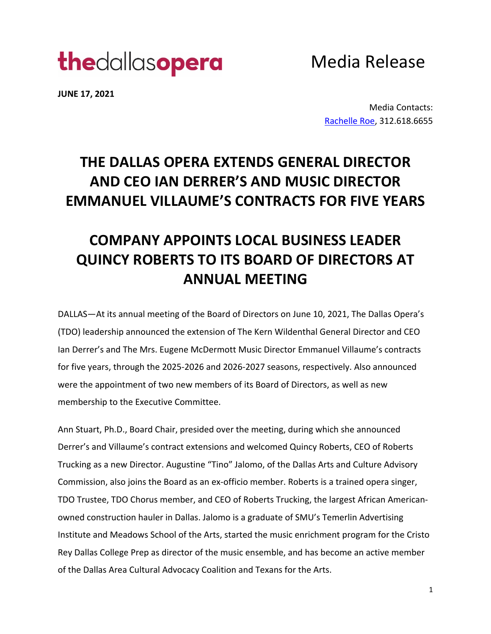# thedallasopera

Media Release

**JUNE 17, 2021**

Media Contacts: Rachelle Roe, 312.618.6655

### **THE DALLAS OPERA EXTENDS GENERAL DIRECTOR AND CEO IAN DERRER'S AND MUSIC DIRECTOR EMMANUEL VILLAUME'S CONTRACTS FOR FIVE YEARS**

## **COMPANY APPOINTS LOCAL BUSINESS LEADER QUINCY ROBERTS TO ITS BOARD OF DIRECTORS AT ANNUAL MEETING**

DALLAS—At its annual meeting of the Board of Directors on June 10, 2021, The Dallas Opera's (TDO) leadership announced the extension of The Kern Wildenthal General Director and CEO Ian Derrer's and The Mrs. Eugene McDermott Music Director Emmanuel Villaume's contracts for five years, through the 2025-2026 and 2026-2027 seasons, respectively. Also announced were the appointment of two new members of its Board of Directors, as well as new membership to the Executive Committee.

Ann Stuart, Ph.D., Board Chair, presided over the meeting, during which she announced Derrer's and Villaume's contract extensions and welcomed Quincy Roberts, CEO of Roberts Trucking as a new Director. Augustine "Tino" Jalomo, of the Dallas Arts and Culture Advisory Commission, also joins the Board as an ex-officio member. Roberts is a trained opera singer, TDO Trustee, TDO Chorus member, and CEO of Roberts Trucking, the largest African Americanowned construction hauler in Dallas. Jalomo is a graduate of SMU's Temerlin Advertising Institute and Meadows School of the Arts, started the music enrichment program for the Cristo Rey Dallas College Prep as director of the music ensemble, and has become an active member of the Dallas Area Cultural Advocacy Coalition and Texans for the Arts.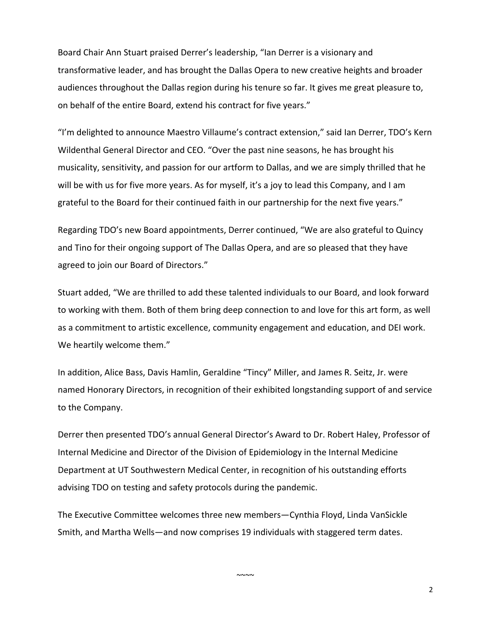Board Chair Ann Stuart praised Derrer's leadership, "Ian Derrer is a visionary and transformative leader, and has brought the Dallas Opera to new creative heights and broader audiences throughout the Dallas region during his tenure so far. It gives me great pleasure to, on behalf of the entire Board, extend his contract for five years."

"I'm delighted to announce Maestro Villaume's contract extension," said Ian Derrer, TDO's Kern Wildenthal General Director and CEO. "Over the past nine seasons, he has brought his musicality, sensitivity, and passion for our artform to Dallas, and we are simply thrilled that he will be with us for five more years. As for myself, it's a joy to lead this Company, and I am grateful to the Board for their continued faith in our partnership for the next five years."

Regarding TDO's new Board appointments, Derrer continued, "We are also grateful to Quincy and Tino for their ongoing support of The Dallas Opera, and are so pleased that they have agreed to join our Board of Directors."

Stuart added, "We are thrilled to add these talented individuals to our Board, and look forward to working with them. Both of them bring deep connection to and love for this art form, as well as a commitment to artistic excellence, community engagement and education, and DEI work. We heartily welcome them."

In addition, Alice Bass, Davis Hamlin, Geraldine "Tincy" Miller, and James R. Seitz, Jr. were named Honorary Directors, in recognition of their exhibited longstanding support of and service to the Company.

Derrer then presented TDO's annual General Director's Award to Dr. Robert Haley, Professor of Internal Medicine and Director of the Division of Epidemiology in the Internal Medicine Department at UT Southwestern Medical Center, in recognition of his outstanding efforts advising TDO on testing and safety protocols during the pandemic.

The Executive Committee welcomes three new members—Cynthia Floyd, Linda VanSickle Smith, and Martha Wells—and now comprises 19 individuals with staggered term dates.

 $~\sim$   $\sim$   $\sim$ 

2